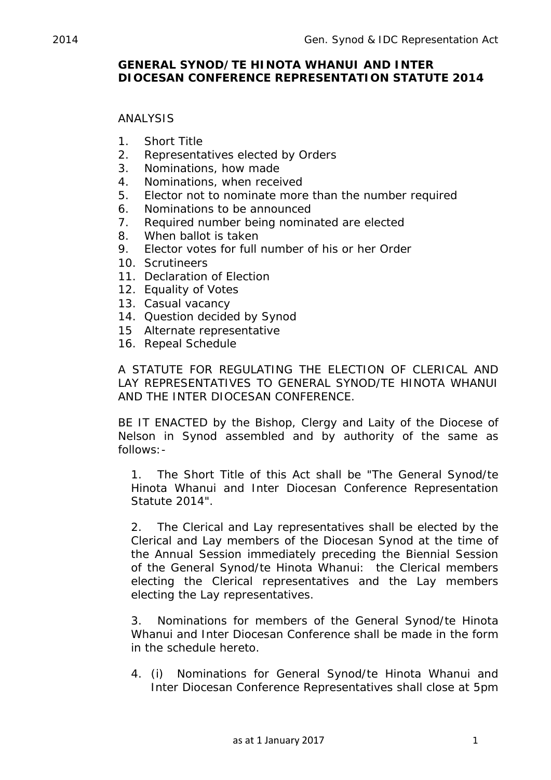## **GENERAL SYNOD/TE HINOTA WHANUI AND INTER DIOCESAN CONFERENCE REPRESENTATION STATUTE 2014**

## ANALYSIS

- 1. Short Title
- 2. Representatives elected by Orders
- 3. Nominations, how made
- 4. Nominations, when received
- 5. Elector not to nominate more than the number required
- 6. Nominations to be announced
- 7. Required number being nominated are elected
- 8. When ballot is taken
- 9. Elector votes for full number of his or her Order
- 10. Scrutineers
- 11. Declaration of Election
- 12. Equality of Votes
- 13. Casual vacancy
- 14. Question decided by Synod
- 15 Alternate representative
- 16. Repeal Schedule

A STATUTE FOR REGULATING THE ELECTION OF CLERICAL AND LAY REPRESENTATIVES TO GENERAL SYNOD/TE HINOTA WHANUI AND THE INTER DIOCESAN CONFERENCE.

BE IT ENACTED by the Bishop, Clergy and Laity of the Diocese of Nelson in Synod assembled and by authority of the same as follows:-

1. The Short Title of this Act shall be "The General Synod/te Hinota Whanui and Inter Diocesan Conference Representation Statute 2014".

2. The Clerical and Lay representatives shall be elected by the Clerical and Lay members of the Diocesan Synod at the time of the Annual Session immediately preceding the Biennial Session of the General Synod/te Hinota Whanui: the Clerical members electing the Clerical representatives and the Lay members electing the Lay representatives.

3. Nominations for members of the General Synod/te Hinota Whanui and Inter Diocesan Conference shall be made in the form in the schedule hereto.

4. (i) Nominations for General Synod/te Hinota Whanui and Inter Diocesan Conference Representatives shall close at 5pm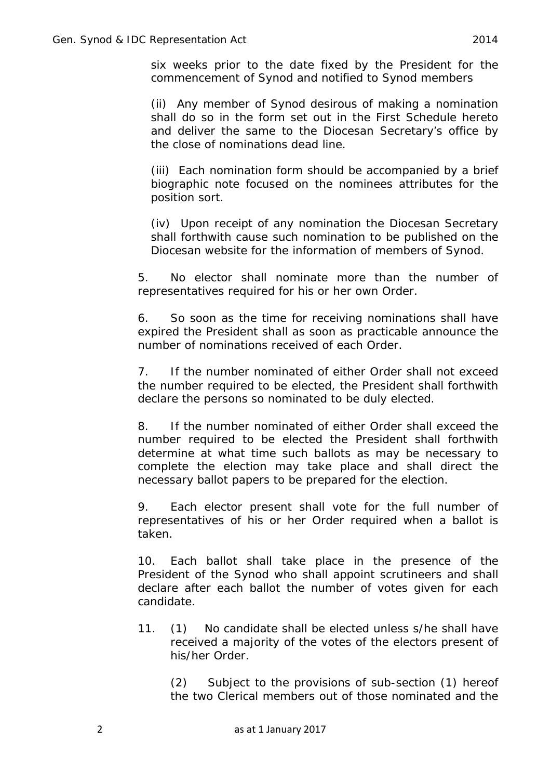six weeks prior to the date fixed by the President for the commencement of Synod and notified to Synod members

(ii) Any member of Synod desirous of making a nomination shall do so in the form set out in the First Schedule hereto and deliver the same to the Diocesan Secretary's office by the close of nominations dead line.

(iii) Each nomination form should be accompanied by a brief biographic note focused on the nominees attributes for the position sort.

(iv) Upon receipt of any nomination the Diocesan Secretary shall forthwith cause such nomination to be published on the Diocesan website for the information of members of Synod.

5. No elector shall nominate more than the number of representatives required for his or her own Order.

6. So soon as the time for receiving nominations shall have expired the President shall as soon as practicable announce the number of nominations received of each Order.

7. If the number nominated of either Order shall not exceed the number required to be elected, the President shall forthwith declare the persons so nominated to be duly elected.

8. If the number nominated of either Order shall exceed the number required to be elected the President shall forthwith determine at what time such ballots as may be necessary to complete the election may take place and shall direct the necessary ballot papers to be prepared for the election.

9. Each elector present shall vote for the full number of representatives of his or her Order required when a ballot is taken.

10. Each ballot shall take place in the presence of the President of the Synod who shall appoint scrutineers and shall declare after each ballot the number of votes given for each candidate.

11. (1) No candidate shall be elected unless s/he shall have received a majority of the votes of the electors present of his/her Order.

(2) Subject to the provisions of sub-section (1) hereof the two Clerical members out of those nominated and the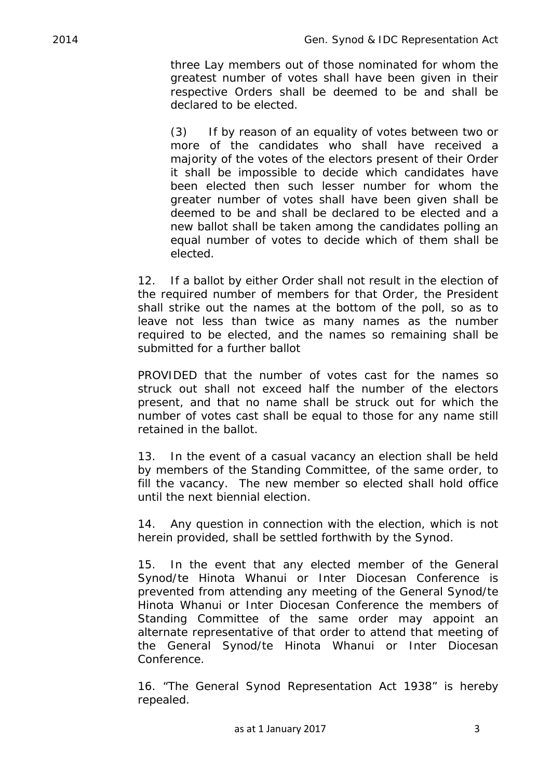three Lay members out of those nominated for whom the greatest number of votes shall have been given in their respective Orders shall be deemed to be and shall be declared to be elected.

(3) If by reason of an equality of votes between two or more of the candidates who shall have received a majority of the votes of the electors present of their Order it shall be impossible to decide which candidates have been elected then such lesser number for whom the greater number of votes shall have been given shall be deemed to be and shall be declared to be elected and a new ballot shall be taken among the candidates polling an equal number of votes to decide which of them shall be elected.

12. If a ballot by either Order shall not result in the election of the required number of members for that Order, the President shall strike out the names at the bottom of the poll, so as to leave not less than twice as many names as the number required to be elected, and the names so remaining shall be submitted for a further ballot

PROVIDED that the number of votes cast for the names so struck out shall not exceed half the number of the electors present, and that no name shall be struck out for which the number of votes cast shall be equal to those for any name still retained in the ballot.

13. In the event of a casual vacancy an election shall be held by members of the Standing Committee, of the same order, to fill the vacancy. The new member so elected shall hold office until the next biennial election.

14. Any question in connection with the election, which is not herein provided, shall be settled forthwith by the Synod.

15. In the event that any elected member of the General Synod/te Hinota Whanui or Inter Diocesan Conference is prevented from attending any meeting of the General Synod/te Hinota Whanui or Inter Diocesan Conference the members of Standing Committee of the same order may appoint an alternate representative of that order to attend that meeting of the General Synod/te Hinota Whanui or Inter Diocesan Conference.

16. "The General Synod Representation Act 1938" is hereby repealed.